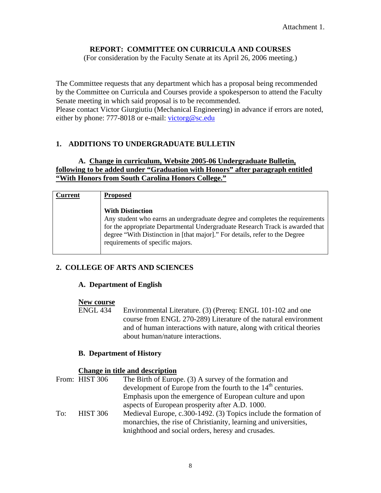# **REPORT: COMMITTEE ON CURRICULA AND COURSES**

(For consideration by the Faculty Senate at its April 26, 2006 meeting.)

The Committee requests that any department which has a proposal being recommended by the Committee on Curricula and Courses provide a spokesperson to attend the Faculty Senate meeting in which said proposal is to be recommended. Please contact Victor Giurgiutiu (Mechanical Engineering) in advance if errors are noted, either by phone: 777-8018 or e-mail: [victorg@sc.edu](mailto:victorg@sc.edu)

# **1. ADDITIONS TO UNDERGRADUATE BULLETIN**

# **A. Change in curriculum, Website 2005-06 Undergraduate Bulletin, following to be added under "Graduation with Honors" after paragraph entitled "With Honors from South Carolina Honors College."**

| <b>Current</b> | <b>Proposed</b>                                                                                                                                                                                                                                                                                             |
|----------------|-------------------------------------------------------------------------------------------------------------------------------------------------------------------------------------------------------------------------------------------------------------------------------------------------------------|
|                | <b>With Distinction</b><br>Any student who earns an undergraduate degree and completes the requirements<br>for the appropriate Departmental Undergraduate Research Track is awarded that<br>degree "With Distinction in [that major]." For details, refer to the Degree<br>requirements of specific majors. |

# **2. COLLEGE OF ARTS AND SCIENCES**

# **A. Department of English**

#### **New course**

ENGL 434 Environmental Literature. (3) (Prereq: ENGL 101-102 and one course from ENGL 270-289) Literature of the natural environment and of human interactions with nature, along with critical theories about human/nature interactions.

#### **B. Department of History**

#### **Change in title and description**

From: HIST 306 The Birth of Europe. (3) A survey of the formation and development of Europe from the fourth to the  $14<sup>th</sup>$  centuries. Emphasis upon the emergence of European culture and upon aspects of European prosperity after A.D. 1000. To: HIST 306 Medieval Europe, c.300-1492. (3) Topics include the formation of monarchies, the rise of Christianity, learning and universities, knighthood and social orders, heresy and crusades.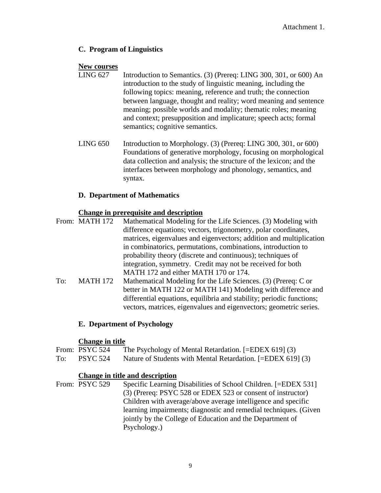# **C. Program of Linguistics**

#### **New courses**

- LING 627 Introduction to Semantics. (3) (Prereq: LING 300, 301, or 600) An introduction to the study of linguistic meaning, including the following topics: meaning, reference and truth; the connection between language, thought and reality; word meaning and sentence meaning; possible worlds and modality; thematic roles; meaning and context; presupposition and implicature; speech acts; formal semantics; cognitive semantics.
- LING 650 Introduction to Morphology. (3) (Prereq: LING 300, 301, or 600) Foundations of generative morphology, focusing on morphological data collection and analysis; the structure of the lexicon; and the interfaces between morphology and phonology, semantics, and syntax.

# **D. Department of Mathematics**

# **Change in prerequisite and description**

|     | From: MATH 172  | Mathematical Modeling for the Life Sciences. (3) Modeling with        |  |
|-----|-----------------|-----------------------------------------------------------------------|--|
|     |                 | difference equations; vectors, trigonometry, polar coordinates,       |  |
|     |                 | matrices, eigenvalues and eigenvectors; addition and multiplication   |  |
|     |                 | in combinatorics, permutations, combinations, introduction to         |  |
|     |                 | probability theory (discrete and continuous); techniques of           |  |
|     |                 | integration, symmetry. Credit may not be received for both            |  |
|     |                 | MATH 172 and either MATH 170 or 174.                                  |  |
| To: | <b>MATH 172</b> | Mathematical Modeling for the Life Sciences. (3) (Prereq: C or        |  |
|     |                 | better in MATH 122 or MATH 141) Modeling with difference and          |  |
|     |                 | differential equations, equilibria and stability; periodic functions; |  |
|     |                 | vectors, matrices, eigenvalues and eigenvectors; geometric series.    |  |

# **E. Department of Psychology**

# **Change in title**

|     | From: PSYC 524  | The Psychology of Mental Retardation. [=EDEX 619] (3)       |
|-----|-----------------|-------------------------------------------------------------|
| To: | <b>PSYC 524</b> | Nature of Students with Mental Retardation. [=EDEX 619] (3) |

**Change in title and description**<br>From: PSYC 529 Specific Learning Specific Learning Disabilities of School Children. [=EDEX 531] (3) (Prereq: PSYC 528 or EDEX 523 or consent of instructor) Children with average/above average intelligence and specific learning impairments; diagnostic and remedial techniques. (Given jointly by the College of Education and the Department of Psychology.)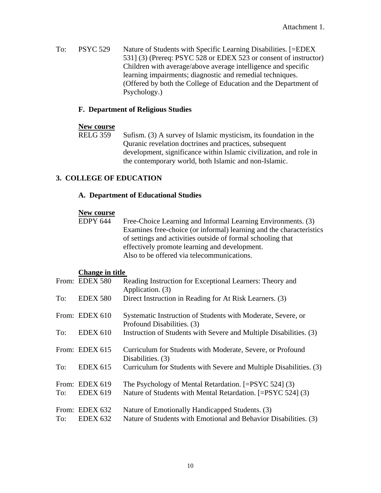To: PSYC 529 Nature of Students with Specific Learning Disabilities. [=EDEX 531] (3) (Prereq: PSYC 528 or EDEX 523 or consent of instructor) Children with average/above average intelligence and specific learning impairments; diagnostic and remedial techniques. (Offered by both the College of Education and the Department of Psychology.)

#### **F. Department of Religious Studies**

#### **New course**

RELG 359 Sufism. (3) A survey of Islamic mysticism, its foundation in the Quranic revelation doctrines and practices, subsequent development, significance within Islamic civilization, and role in the contemporary world, both Islamic and non-Islamic.

# **3. COLLEGE OF EDUCATION**

#### **A. Department of Educational Studies**

#### **New course**

| EDPY 644 | Free-Choice Learning and Informal Learning Environments. (3)        |
|----------|---------------------------------------------------------------------|
|          | Examines free-choice (or informal) learning and the characteristics |
|          | of settings and activities outside of formal schooling that         |
|          | effectively promote learning and development.                       |
|          | Also to be offered via telecommunications.                          |

#### **Change in title**

|     | From: EDEX 580  | Reading Instruction for Exceptional Learners: Theory and<br>Application. (3)               |
|-----|-----------------|--------------------------------------------------------------------------------------------|
| To: | <b>EDEX 580</b> | Direct Instruction in Reading for At Risk Learners. (3)                                    |
|     | From: EDEX 610  | Systematic Instruction of Students with Moderate, Severe, or<br>Profound Disabilities. (3) |
| To: | <b>EDEX 610</b> | Instruction of Students with Severe and Multiple Disabilities. (3)                         |
|     | From: EDEX 615  | Curriculum for Students with Moderate, Severe, or Profound<br>Disabilities. (3)            |
| To: | <b>EDEX 615</b> | Curriculum for Students with Severe and Multiple Disabilities. (3)                         |
|     | From: EDEX 619  | The Psychology of Mental Retardation. [=PSYC 524] (3)                                      |
| To: | <b>EDEX 619</b> | Nature of Students with Mental Retardation. [=PSYC 524] (3)                                |
|     | From: EDEX 632  | Nature of Emotionally Handicapped Students. (3)                                            |
| To: | EDEX 632        | Nature of Students with Emotional and Behavior Disabilities. (3)                           |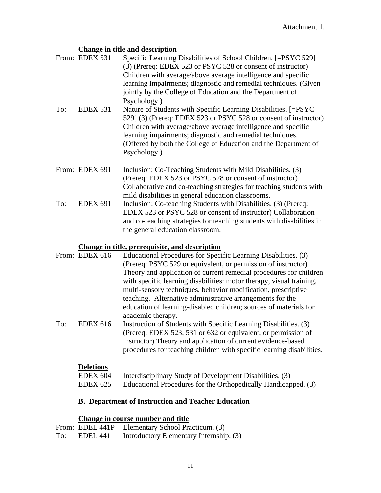# **Change in title and description**

|     | From: EDEX 531  | Specific Learning Disabilities of School Children. [=PSYC 529]<br>(3) (Prereq: EDEX 523 or PSYC 528 or consent of instructor)<br>Children with average/above average intelligence and specific<br>learning impairments; diagnostic and remedial techniques. (Given<br>jointly by the College of Education and the Department of<br>Psychology.)      |
|-----|-----------------|------------------------------------------------------------------------------------------------------------------------------------------------------------------------------------------------------------------------------------------------------------------------------------------------------------------------------------------------------|
| To: | EDEX 531        | Nature of Students with Specific Learning Disabilities. [=PSYC]<br>529] (3) (Prereq: EDEX 523 or PSYC 528 or consent of instructor)<br>Children with average/above average intelligence and specific<br>learning impairments; diagnostic and remedial techniques.<br>(Offered by both the College of Education and the Department of<br>Psychology.) |
|     | From: EDEX 691  | Inclusion: Co-Teaching Students with Mild Disabilities. (3)<br>(Prereq: EDEX 523 or PSYC 528 or consent of instructor)<br>Collaborative and co-teaching strategies for teaching students with<br>mild disabilities in general education classrooms.                                                                                                  |
| To: | <b>EDEX 691</b> | Inclusion: Co-teaching Students with Disabilities. (3) (Prereq:<br>EDEX 523 or PSYC 528 or consent of instructor) Collaboration<br>and co-teaching strategies for teaching students with disabilities in<br>the general education classroom.                                                                                                         |

# **Change in title, prerequisite, and description**

|     | From: EDEX 616  | Educational Procedures for Specific Learning Disabilities. (3)<br>(Prereq: PSYC 529 or equivalent, or permission of instructor)            |
|-----|-----------------|--------------------------------------------------------------------------------------------------------------------------------------------|
|     |                 | Theory and application of current remedial procedures for children<br>with specific learning disabilities: motor therapy, visual training, |
|     |                 | multi-sensory techniques, behavior modification, prescriptive<br>teaching. Alternative administrative arrangements for the                 |
|     |                 | education of learning-disabled children; sources of materials for<br>academic therapy.                                                     |
| To: | <b>EDEX 616</b> | Instruction of Students with Specific Learning Disabilities. (3)                                                                           |
|     |                 | (Prereq: EDEX 523, 531 or 632 or equivalent, or permission of                                                                              |
|     |                 | instructor) Theory and application of current evidence-based                                                                               |
|     |                 | procedures for teaching children with specific learning disabilities.                                                                      |

#### **Deletions**

| EDEX 604        | Interdisciplinary Study of Development Disabilities. (3)       |
|-----------------|----------------------------------------------------------------|
| <b>EDEX 625</b> | Educational Procedures for the Orthopedically Handicapped. (3) |

# **B. Department of Instruction and Teacher Education**

# **Change in course number and title**

|     |                 | From: EDEL 441P Elementary School Practicum. (3) |
|-----|-----------------|--------------------------------------------------|
| To: | <b>EDEL 441</b> | Introductory Elementary Internship. (3)          |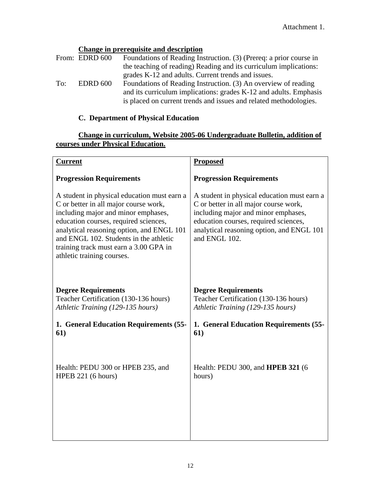# **Change in prerequisite and description**

|     | From: EDRD 600  | Foundations of Reading Instruction. (3) (Prereq: a prior course in |  |
|-----|-----------------|--------------------------------------------------------------------|--|
|     |                 | the teaching of reading) Reading and its curriculum implications:  |  |
|     |                 | grades K-12 and adults. Current trends and issues.                 |  |
| To: | <b>EDRD 600</b> | Foundations of Reading Instruction. (3) An overview of reading     |  |
|     |                 | and its curriculum implications: grades K-12 and adults. Emphasis  |  |
|     |                 | is placed on current trends and issues and related methodologies.  |  |

# **C. Department of Physical Education**

# **Change in curriculum, Website 2005-06 Undergraduate Bulletin, addition of courses under Physical Education.**

| <b>Current</b>                                                                                                                                                                                                                                                                                                                      | <b>Proposed</b>                                                                                                                                                                                                                    |
|-------------------------------------------------------------------------------------------------------------------------------------------------------------------------------------------------------------------------------------------------------------------------------------------------------------------------------------|------------------------------------------------------------------------------------------------------------------------------------------------------------------------------------------------------------------------------------|
| <b>Progression Requirements</b>                                                                                                                                                                                                                                                                                                     | <b>Progression Requirements</b>                                                                                                                                                                                                    |
| A student in physical education must earn a<br>C or better in all major course work,<br>including major and minor emphases,<br>education courses, required sciences,<br>analytical reasoning option, and ENGL 101<br>and ENGL 102. Students in the athletic<br>training track must earn a 3.00 GPA in<br>athletic training courses. | A student in physical education must earn a<br>C or better in all major course work,<br>including major and minor emphases,<br>education courses, required sciences,<br>analytical reasoning option, and ENGL 101<br>and ENGL 102. |
| <b>Degree Requirements</b><br>Teacher Certification (130-136 hours)<br>Athletic Training (129-135 hours)                                                                                                                                                                                                                            | <b>Degree Requirements</b><br>Teacher Certification (130-136 hours)<br>Athletic Training (129-135 hours)                                                                                                                           |
| 1. General Education Requirements (55-<br>61)                                                                                                                                                                                                                                                                                       | 1. General Education Requirements (55-<br>61)                                                                                                                                                                                      |
| Health: PEDU 300 or HPEB 235, and<br>HPEB 221 (6 hours)                                                                                                                                                                                                                                                                             | Health: PEDU 300, and <b>HPEB 321</b> (6)<br>hours)                                                                                                                                                                                |
|                                                                                                                                                                                                                                                                                                                                     |                                                                                                                                                                                                                                    |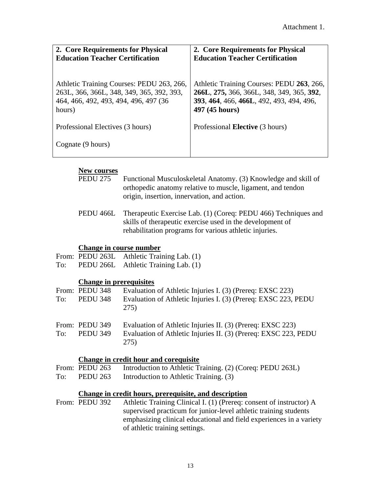| 2. Core Requirements for Physical         | 2. Core Requirements for Physical               |
|-------------------------------------------|-------------------------------------------------|
| <b>Education Teacher Certification</b>    | <b>Education Teacher Certification</b>          |
| Athletic Training Courses: PEDU 263, 266, | Athletic Training Courses: PEDU 263, 266,       |
| 263L, 366, 366L, 348, 349, 365, 392, 393, | 266L, 275, 366, 366L, 348, 349, 365, 392,       |
| 464, 466, 492, 493, 494, 496, 497 (36     | <b>393, 464, 466, 466L, 492, 493, 494, 496,</b> |
| hours)                                    | 497 (45 hours)                                  |
| Professional Electives (3 hours)          | Professional Elective (3 hours)                 |
| Cognate (9 hours)                         |                                                 |

#### **New courses**

- PEDU 275 Functional Musculoskeletal Anatomy. (3) Knowledge and skill of orthopedic anatomy relative to muscle, ligament, and tendon origin, insertion, innervation, and action.
- PEDU 466L Therapeutic Exercise Lab. (1) (Coreq: PEDU 466) Techniques and skills of therapeutic exercise used in the development of rehabilitation programs for various athletic injuries.

# **Change in course number**

|     | From: PEDU 263L | Athletic Training Lab. (1) |
|-----|-----------------|----------------------------|
| To: | PEDU 266L       | Athletic Training Lab. (1) |

#### **Change in prerequisites**

| To:   | From: PEDU 348<br><b>PEDU 348</b> | Evaluation of Athletic Injuries I. (3) (Prereq: EXSC 223)<br>Evaluation of Athletic Injuries I. (3) (Prereq: EXSC 223, PEDU<br>275)   |
|-------|-----------------------------------|---------------------------------------------------------------------------------------------------------------------------------------|
| To: T | From: PEDU 349<br><b>PEDU 349</b> | Evaluation of Athletic Injuries II. (3) (Prereq: EXSC 223)<br>Evaluation of Athletic Injuries II. (3) (Prereq: EXSC 223, PEDU<br>275) |

#### **Change in credit hour and corequisite**

| From: PEDU 263 | Introduction to Athletic Training. (2) (Coreq: PEDU 263L) |  |
|----------------|-----------------------------------------------------------|--|
|----------------|-----------------------------------------------------------|--|

To: PEDU 263 Introduction to Athletic Training. (3)

#### **Change in credit hours, prerequisite, and description**

From: PEDU 392 Athletic Training Clinical I. (1) (Prereq: consent of instructor) A supervised practicum for junior-level athletic training students emphasizing clinical educational and field experiences in a variety of athletic training settings.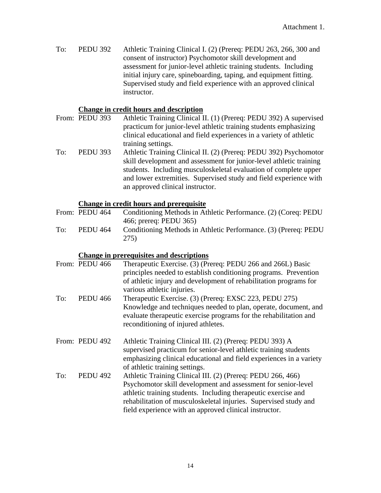To: PEDU 392 Athletic Training Clinical I. (2) (Prereq: PEDU 263, 266, 300 and consent of instructor) Psychomotor skill development and assessment for junior-level athletic training students. Including initial injury care, spineboarding, taping, and equipment fitting. Supervised study and field experience with an approved clinical instructor.

#### **Change in credit hours and description**

- From: PEDU 393 Athletic Training Clinical II. (1) (Prereq: PEDU 392) A supervised practicum for junior-level athletic training students emphasizing clinical educational and field experiences in a variety of athletic training settings.
- To: PEDU 393 Athletic Training Clinical II. (2) (Prereq: PEDU 392) Psychomotor skill development and assessment for junior-level athletic training students. Including musculoskeletal evaluation of complete upper and lower extremities. Supervised study and field experience with an approved clinical instructor.

#### **Change in credit hours and prerequisite**

|     | From: PEDU 464      | Conditioning Methods in Athletic Performance. (2) (Coreq: PEDU  |
|-----|---------------------|-----------------------------------------------------------------|
|     |                     | 466; prereq: PEDU 365)                                          |
| To: | PEDU <sub>464</sub> | Conditioning Methods in Athletic Performance. (3) (Prereq: PEDU |
|     |                     | 275)                                                            |

#### **Change in prerequisites and descriptions**

|     | From: PEDU 466  | Therapeutic Exercise. (3) (Prereq: PEDU 266 and 266L) Basic<br>principles needed to establish conditioning programs. Prevention<br>of athletic injury and development of rehabilitation programs for                                                                                                                         |
|-----|-----------------|------------------------------------------------------------------------------------------------------------------------------------------------------------------------------------------------------------------------------------------------------------------------------------------------------------------------------|
| To: | <b>PEDU 466</b> | various athletic injuries.<br>Therapeutic Exercise. (3) (Prereq: EXSC 223, PEDU 275)<br>Knowledge and techniques needed to plan, operate, document, and<br>evaluate therapeutic exercise programs for the rehabilitation and<br>reconditioning of injured athletes.                                                          |
|     | From: PEDU 492  | Athletic Training Clinical III. (2) (Prereq: PEDU 393) A<br>supervised practicum for senior-level athletic training students<br>emphasizing clinical educational and field experiences in a variety<br>of athletic training settings.                                                                                        |
| To: | <b>PEDU 492</b> | Athletic Training Clinical III. (2) (Prereq: PEDU 266, 466)<br>Psychomotor skill development and assessment for senior-level<br>athletic training students. Including therapeutic exercise and<br>rehabilitation of musculoskeletal injuries. Supervised study and<br>field experience with an approved clinical instructor. |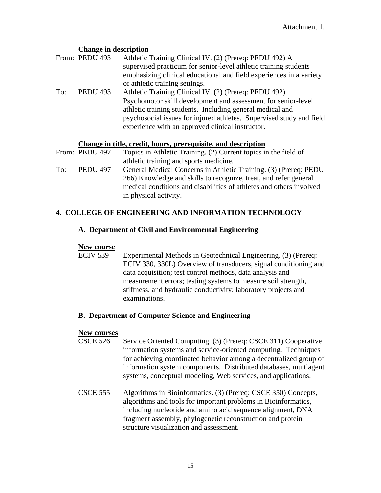# **Change in description**

- From: PEDU 493 Athletic Training Clinical IV. (2) (Prereq: PEDU 492) A supervised practicum for senior-level athletic training students emphasizing clinical educational and field experiences in a variety of athletic training settings.
- To: PEDU 493 Athletic Training Clinical IV. (2) (Prereq: PEDU 492) Psychomotor skill development and assessment for senior-level athletic training students. Including general medical and psychosocial issues for injured athletes. Supervised study and field experience with an approved clinical instructor.

#### **Change in title, credit, hours, prerequisite, and description**

- From: PEDU 497 Topics in Athletic Training. (2) Current topics in the field of athletic training and sports medicine.
- To: PEDU 497 General Medical Concerns in Athletic Training. (3) (Prereq: PEDU 266) Knowledge and skills to recognize, treat, and refer general medical conditions and disabilities of athletes and others involved in physical activity.

# **4. COLLEGE OF ENGINEERING AND INFORMATION TECHNOLOGY**

# **A. Department of Civil and Environmental Engineering**

#### **New course**

ECIV 539 Experimental Methods in Geotechnical Engineering. (3) (Prereq: ECIV 330, 330L) Overview of transducers, signal conditioning and data acquisition; test control methods, data analysis and measurement errors; testing systems to measure soil strength, stiffness, and hydraulic conductivity; laboratory projects and examinations.

# **B. Department of Computer Science and Engineering**

#### **New courses**

- CSCE 526 Service Oriented Computing. (3) (Prereq: CSCE 311) Cooperative information systems and service-oriented computing. Techniques for achieving coordinated behavior among a decentralized group of information system components. Distributed databases, multiagent systems, conceptual modeling, Web services, and applications.
- CSCE 555 Algorithms in Bioinformatics. (3) (Prereq: CSCE 350) Concepts, algorithms and tools for important problems in Bioinformatics, including nucleotide and amino acid sequence alignment, DNA fragment assembly, phylogenetic reconstruction and protein structure visualization and assessment.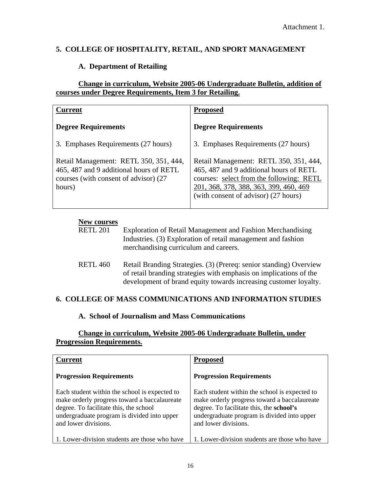# **5. COLLEGE OF HOSPITALITY, RETAIL, AND SPORT MANAGEMENT**

# **A. Department of Retailing**

# **Change in curriculum, Website 2005-06 Undergraduate Bulletin, addition of courses under Degree Requirements, Item 3 for Retailing.**

| Current                                                                                                                               | <b>Proposed</b>                                                                                                                                                                                                 |
|---------------------------------------------------------------------------------------------------------------------------------------|-----------------------------------------------------------------------------------------------------------------------------------------------------------------------------------------------------------------|
| <b>Degree Requirements</b>                                                                                                            | <b>Degree Requirements</b>                                                                                                                                                                                      |
| 3. Emphases Requirements (27 hours)                                                                                                   | 3. Emphases Requirements (27 hours)                                                                                                                                                                             |
| Retail Management: RETL 350, 351, 444,<br>465, 487 and 9 additional hours of RETL<br>courses (with consent of advisor) (27)<br>hours) | Retail Management: RETL 350, 351, 444,<br>465, 487 and 9 additional hours of RETL<br>courses: select from the following: RETL<br>201, 368, 378, 388, 363, 399, 460, 469<br>(with consent of advisor) (27 hours) |

# **New courses**

| <b>RETL 201</b> | Exploration of Retail Management and Fashion Merchandising   |
|-----------------|--------------------------------------------------------------|
|                 | Industries. (3) Exploration of retail management and fashion |
|                 | merchandising curriculum and careers.                        |

RETL 460 Retail Branding Strategies. (3) (Prereq: senior standing) Overview of retail branding strategies with emphasis on implications of the development of brand equity towards increasing customer loyalty.

# **6. COLLEGE OF MASS COMMUNICATIONS AND INFORMATION STUDIES**

# **A. School of Journalism and Mass Communications**

# **Change in curriculum, Website 2005-06 Undergraduate Bulletin, under Progression Requirements.**

| <b>Current</b>                                                                                                                                                                                                 | <b>Proposed</b>                                                                                                                                                                                                  |
|----------------------------------------------------------------------------------------------------------------------------------------------------------------------------------------------------------------|------------------------------------------------------------------------------------------------------------------------------------------------------------------------------------------------------------------|
| <b>Progression Requirements</b>                                                                                                                                                                                | <b>Progression Requirements</b>                                                                                                                                                                                  |
| Each student within the school is expected to<br>make orderly progress toward a baccalaureate<br>degree. To facilitate this, the school<br>undergraduate program is divided into upper<br>and lower divisions. | Each student within the school is expected to<br>make orderly progress toward a baccalaureate<br>degree. To facilitate this, the school's<br>undergraduate program is divided into upper<br>and lower divisions. |
| 1. Lower-division students are those who have                                                                                                                                                                  | 1. Lower-division students are those who have                                                                                                                                                                    |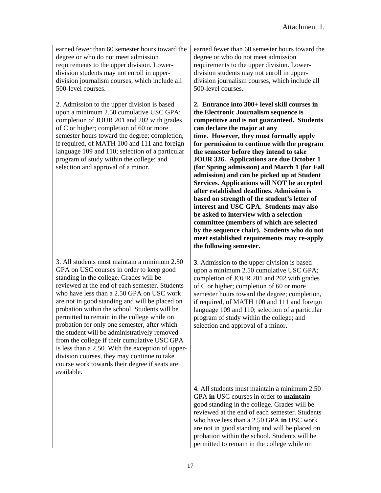earned fewer than 60 semester hours toward the degree or who do not meet admission requirements to the upper division. Lowerdivision students may not enroll in upperdivision journalism courses, which include all 500-level courses.

2. Admission to the upper division is based upon a minimum 2.50 cumulative USC GPA; completion of JOUR 201 and 202 with grades of C or higher; completion of 60 or more semester hours toward the degree; completion, if required, of MATH 100 and 111 and foreign language 109 and 110; selection of a particular program of study within the college; and selection and approval of a minor.

3. All students must maintain a minimum 2.50 GPA on USC courses in order to keep good standing in the college. Grades will be reviewed at the end of each semester. Students who have less than a 2.50 GPA on USC work are not in good standing and will be placed on probation within the school. Students will be permitted to remain in the college while on probation for only one semester, after which the student will be administratively removed from the college if their cumulative USC GPA is less than a 2.50. With the exception of upperdivision courses, they may continue to take course work towards their degree if seats are available.

earned fewer than 60 semester hours toward the degree or who do not meet admission requirements to the upper division. Lowerdivision students may not enroll in upperdivision journalism courses, which include all 500-level courses.

**2. Entrance into 300+ level skill courses in the Electronic Journalism sequence is competitive and is not guaranteed. Students can declare the major at any time. However, they must formally apply for permission to continue with the program the semester before they intend to take JOUR 326. Applications are due October 1 (for Spring admission) and March 1 (for Fall admission) and can be picked up at Student Services. Applications will NOT be accepted after established deadlines. Admission is based on strength of the student's letter of interest and USC GPA. Students may also be asked to interview with a selection committee (members of which are selected by the sequence chair). Students who do not meet established requirements may re-apply the following semester.** 

**3**. Admission to the upper division is based upon a minimum 2.50 cumulative USC GPA; completion of JOUR 201 and 202 with grades of C or higher; completion of 60 or more semester hours toward the degree; completion, if required, of MATH 100 and 111 and foreign language 109 and 110; selection of a particular program of study within the college; and selection and approval of a minor.

**4**. All students must maintain a minimum 2.50 GPA **in** USC courses in order to **maintain**  good standing in the college. Grades will be reviewed at the end of each semester. Students who have less than a 2.50 GPA **in** USC work are not in good standing and will be placed on probation within the school. Students will be permitted to remain in the college while on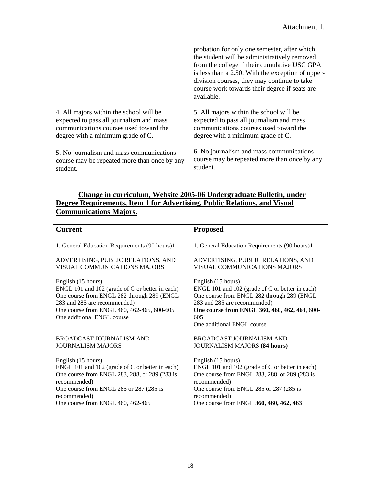|                                              | probation for only one semester, after which<br>the student will be administratively removed<br>from the college if their cumulative USC GPA<br>is less than a 2.50. With the exception of upper-<br>division courses, they may continue to take<br>course work towards their degree if seats are<br>available. |
|----------------------------------------------|-----------------------------------------------------------------------------------------------------------------------------------------------------------------------------------------------------------------------------------------------------------------------------------------------------------------|
| 4. All majors within the school will be      | 5. All majors within the school will be                                                                                                                                                                                                                                                                         |
| expected to pass all journalism and mass     | expected to pass all journalism and mass                                                                                                                                                                                                                                                                        |
| communications courses used toward the       | communications courses used toward the                                                                                                                                                                                                                                                                          |
| degree with a minimum grade of C.            | degree with a minimum grade of C.                                                                                                                                                                                                                                                                               |
| 5. No journalism and mass communications     | <b>6.</b> No journalism and mass communications                                                                                                                                                                                                                                                                 |
| course may be repeated more than once by any | course may be repeated more than once by any                                                                                                                                                                                                                                                                    |
| student.                                     | student.                                                                                                                                                                                                                                                                                                        |

# **Change in curriculum, Website 2005-06 Undergraduate Bulletin, under Degree Requirements, Item 1 for Advertising, Public Relations, and Visual Communications Majors.**

| <b>Current</b>                                                                                                                                                                                                                  | <b>Proposed</b>                                                                                                                                                                                                                           |
|---------------------------------------------------------------------------------------------------------------------------------------------------------------------------------------------------------------------------------|-------------------------------------------------------------------------------------------------------------------------------------------------------------------------------------------------------------------------------------------|
| 1. General Education Requirements (90 hours)1                                                                                                                                                                                   | 1. General Education Requirements (90 hours)1                                                                                                                                                                                             |
| ADVERTISING, PUBLIC RELATIONS, AND                                                                                                                                                                                              | ADVERTISING, PUBLIC RELATIONS, AND                                                                                                                                                                                                        |
| VISUAL COMMUNICATIONS MAJORS                                                                                                                                                                                                    | VISUAL COMMUNICATIONS MAJORS                                                                                                                                                                                                              |
| English (15 hours)<br>ENGL 101 and 102 (grade of C or better in each)<br>One course from ENGL 282 through 289 (ENGL<br>283 and 285 are recommended)<br>One course from ENGL 460, 462-465, 600-605<br>One additional ENGL course | English (15 hours)<br>ENGL 101 and 102 (grade of C or better in each)<br>One course from ENGL 282 through 289 (ENGL<br>283 and 285 are recommended)<br>One course from ENGL 360, 460, 462, 463, 600-<br>605<br>One additional ENGL course |
| <b>BROADCAST JOURNALISM AND</b>                                                                                                                                                                                                 | BROADCAST JOURNALISM AND                                                                                                                                                                                                                  |
| <b>JOURNALISM MAJORS</b>                                                                                                                                                                                                        | <b>JOURNALISM MAJORS (84 hours)</b>                                                                                                                                                                                                       |
| English (15 hours)                                                                                                                                                                                                              | English (15 hours)                                                                                                                                                                                                                        |
| ENGL 101 and 102 (grade of C or better in each)                                                                                                                                                                                 | ENGL 101 and 102 (grade of C or better in each)                                                                                                                                                                                           |
| One course from ENGL 283, 288, or 289 (283 is                                                                                                                                                                                   | One course from ENGL 283, 288, or 289 (283 is                                                                                                                                                                                             |
| recommended)                                                                                                                                                                                                                    | recommended)                                                                                                                                                                                                                              |
| One course from ENGL 285 or 287 (285 is                                                                                                                                                                                         | One course from ENGL 285 or 287 (285 is                                                                                                                                                                                                   |
| recommended)                                                                                                                                                                                                                    | recommended)                                                                                                                                                                                                                              |
| One course from ENGL 460, 462-465                                                                                                                                                                                               | One course from ENGL 360, 460, 462, 463                                                                                                                                                                                                   |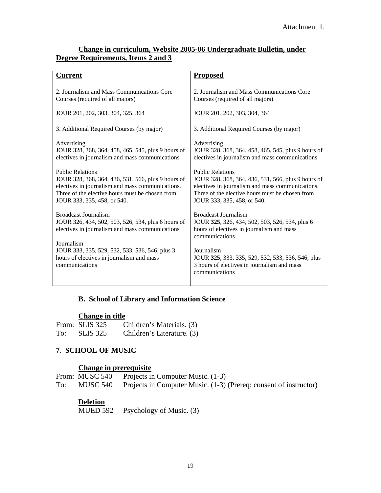# **Change in curriculum, Website 2005-06 Undergraduate Bulletin, under Degree Requirements, Items 2 and 3**

| <b>Current</b>                                                                                                | <b>Proposed</b>                                                                                                                  |
|---------------------------------------------------------------------------------------------------------------|----------------------------------------------------------------------------------------------------------------------------------|
| 2. Journalism and Mass Communications Core                                                                    | 2. Journalism and Mass Communications Core                                                                                       |
| Courses (required of all majors)                                                                              | Courses (required of all majors)                                                                                                 |
| JOUR 201, 202, 303, 304, 325, 364                                                                             | JOUR 201, 202, 303, 304, 364                                                                                                     |
| 3. Additional Required Courses (by major)                                                                     | 3. Additional Required Courses (by major)                                                                                        |
| Advertising                                                                                                   | Advertising                                                                                                                      |
| JOUR 328, 368, 364, 458, 465, 545, plus 9 hours of                                                            | JOUR 328, 368, 364, 458, 465, 545, plus 9 hours of                                                                               |
| electives in journalism and mass communications                                                               | electives in journalism and mass communications                                                                                  |
| <b>Public Relations</b>                                                                                       | <b>Public Relations</b>                                                                                                          |
| JOUR 328, 368, 364, 436, 531, 566, plus 9 hours of                                                            | JOUR 328, 368, 364, 436, 531, 566, plus 9 hours of                                                                               |
| electives in journalism and mass communications.                                                              | electives in journalism and mass communications.                                                                                 |
| Three of the elective hours must be chosen from                                                               | Three of the elective hours must be chosen from                                                                                  |
| JOUR 333, 335, 458, or 540.                                                                                   | JOUR 333, 335, 458, or 540.                                                                                                      |
| Broadcast Journalism                                                                                          | Broadcast Journalism                                                                                                             |
| JOUR 326, 434, 502, 503, 526, 534, plus 6 hours of                                                            | JOUR 325, 326, 434, 502, 503, 526, 534, plus 6                                                                                   |
| electives in journalism and mass communications                                                               | hours of electives in journalism and mass                                                                                        |
| Journalism                                                                                                    | communications                                                                                                                   |
| JOUR 333, 335, 529, 532, 533, 536, 546, plus 3<br>hours of electives in journalism and mass<br>communications | Journalism<br>JOUR 325, 333, 335, 529, 532, 533, 536, 546, plus<br>3 hours of electives in journalism and mass<br>communications |

# **B. School of Library and Information Science**

#### **Change in title**

|     | From: SLIS 325  | Children's Materials. (3)  |
|-----|-----------------|----------------------------|
| To: | <b>SLIS</b> 325 | Children's Literature. (3) |

# **7**. **SCHOOL OF MUSIC**

**Change in prerequisite**<br>From: MUSC 540 Projects in Projects in Computer Music.  $(1-3)$ To: MUSC 540 Projects in Computer Music. (1-3) (Prereq: consent of instructor)

#### **Deletion**

MUED 592 Psychology of Music. (3)